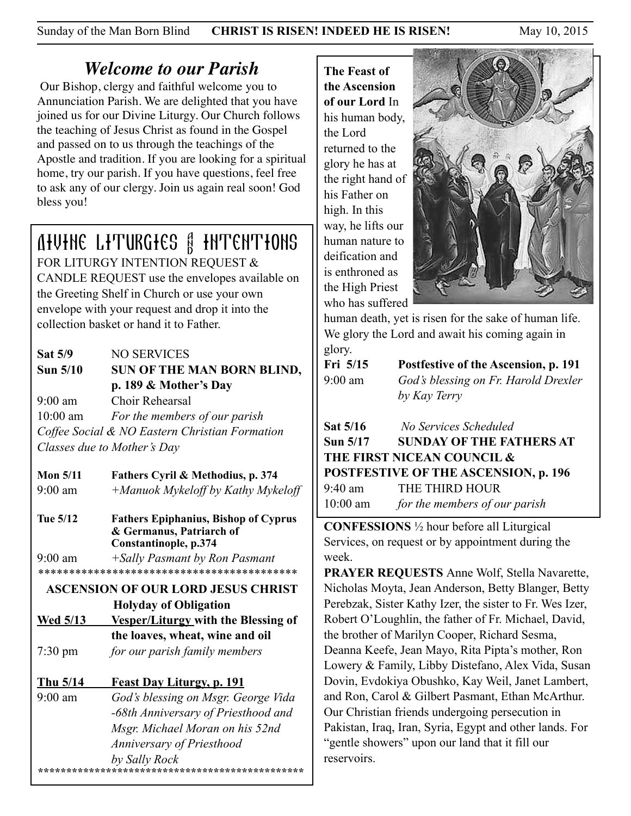Sunday of the Man Born Blind **CHRIST IS RISEN! INDEED HE IS RISEN!** May 10, 2015

## *Welcome to our Parish*

 Our Bishop, clergy and faithful welcome you to Annunciation Parish. We are delighted that you have joined us for our Divine Liturgy. Our Church follows the teaching of Jesus Christ as found in the Gospel and passed on to us through the teachings of the Apostle and tradition. If you are looking for a spiritual home, try our parish. If you have questions, feel free to ask any of our clergy. Join us again real soon! God bless you!

# Divine Liturgies & Intentions

FOR LITURGY INTENTION REQUEST & CANDLE REQUEST use the envelopes available on the Greeting Shelf in Church or use your own envelope with your request and drop it into the collection basket or hand it to Father.

## **Sat 5/9** NO SERVICES Sun 5/10 SUN OF THE MAN BORN BLIND,  **p. 189 & Mother's Day**  9:00 am Choir Rehearsal 10:00 am *For the members of our parish Coffee Social & NO Eastern Christian Formation Classes due to Mother's Day*

**Mon 5/11 Fathers Cyril & Methodius, p. 374** 9:00 am *+Manuok Mykeloff by Kathy Mykeloff* 

**Tue 5/12 Fathers Epiphanius, Bishop of Cyprus & Germanus, Patriarch of Constantinople, p.374**  9:00 am *+Sally Pasmant by Ron Pasmant \*\*\*\*\*\*\*\*\*\*\*\*\*\*\*\*\*\*\*\*\*\*\*\*\*\*\*\*\*\*\*\*\*\*\*\*\*\*\*\*\*\**

## **ASCENSION OF OUR LORD JESUS CHRIST Holyday of Obligation**

**Wed 5/13 Vesper/Liturgy with the Blessing of the loaves, wheat, wine and oil** 7:30 pm *for our parish family members*

## **Thu 5/14 Feast Day Liturgy, p. 191**

9:00 am *God's blessing on Msgr. George Vida -68th Anniversary of Priesthood and Msgr. Michael Moran on his 52nd Anniversary of Priesthood by Sally Rock \*\*\*\*\*\*\*\*\*\*\*\*\*\*\*\*\*\*\*\*\*\*\*\*\*\*\*\*\*\*\*\*\*\*\*\*\*\*\*\*\*\*\*\*\*\*\**  **The Feast of the Ascension of our Lord** In his human body, the Lord returned to the glory he has at the right hand of his Father on high. In this way, he lifts our human nature to deification and is enthroned as the High Priest who has suffered



human death, yet is risen for the sake of human life. We glory the Lord and await his coming again in glory.

| $\mathbf{C}$<br>Fri 5/15 | Postfestive of the Ascension, p. 191 |
|--------------------------|--------------------------------------|
| $9:00 \text{ am}$        | God's blessing on Fr. Harold Drexler |
|                          | by Kay Terry                         |

| <b>Sat 5/16</b> | No Services Scheduled                       |
|-----------------|---------------------------------------------|
| Sun 5/17        | <b>SUNDAY OF THE FATHERS AT</b>             |
|                 | THE FIRST NICEAN COUNCIL &                  |
|                 | <b>POSTFESTIVE OF THE ASCENSION, p. 196</b> |
| 9:40 am         | THE THIRD HOUR                              |
| $10:00$ am      | for the members of our parish               |

**CONFESSIONS** ½ hour before all Liturgical Services, on request or by appointment during the week.

**PRAYER REQUESTS** Anne Wolf, Stella Navarette, Nicholas Moyta, Jean Anderson, Betty Blanger, Betty Perebzak, Sister Kathy Izer, the sister to Fr. Wes Izer, Robert O'Loughlin, the father of Fr. Michael, David, the brother of Marilyn Cooper, Richard Sesma, Deanna Keefe, Jean Mayo, Rita Pipta's mother, Ron Lowery & Family, Libby Distefano, Alex Vida, Susan Dovin, Evdokiya Obushko, Kay Weil, Janet Lambert, and Ron, Carol & Gilbert Pasmant, Ethan McArthur. Our Christian friends undergoing persecution in Pakistan, Iraq, Iran, Syria, Egypt and other lands. For "gentle showers" upon our land that it fill our reservoirs.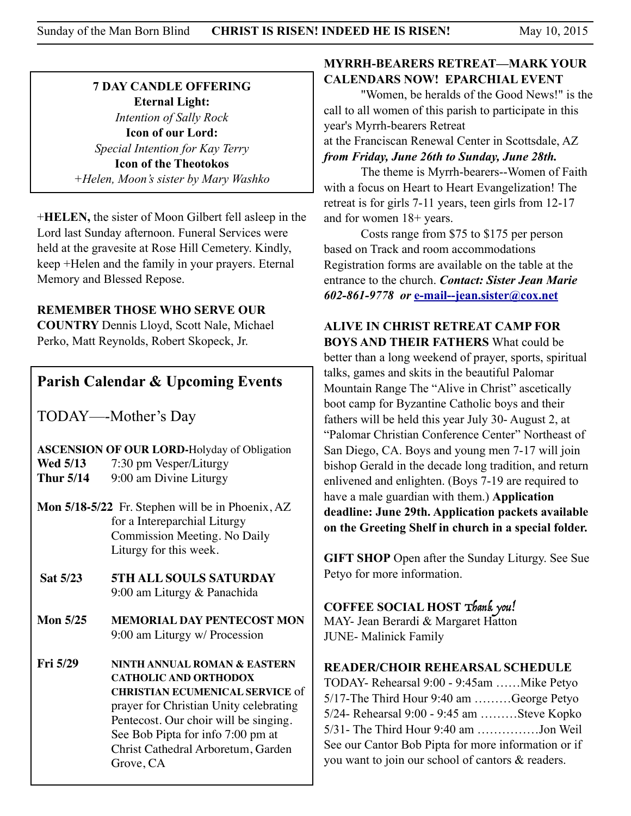#### **7 DAY CANDLE OFFERING Eternal Light:**  *Intention of Sally Rock*  **Icon of our Lord:**  *Special Intention for Kay Terry*  **Icon of the Theotokos** *+Helen, Moon's sister by Mary Washko*

+**HELEN,** the sister of Moon Gilbert fell asleep in the Lord last Sunday afternoon. Funeral Services were held at the gravesite at Rose Hill Cemetery. Kindly, keep +Helen and the family in your prayers. Eternal Memory and Blessed Repose.

**REMEMBER THOSE WHO SERVE OUR** 

**COUNTRY** Dennis Lloyd, Scott Nale, Michael Perko, Matt Reynolds, Robert Skopeck, Jr.

## **Parish Calendar & Upcoming Events**

TODAY—-Mother's Day

**ASCENSION OF OUR LORD-**Holyday of Obligation **Wed 5/13** 7:30 pm Vesper/Liturgy **Thur 5/14** 9:00 am Divine Liturgy

- **Mon 5/18-5/22** Fr. Stephen will be in Phoenix, AZ for a Intereparchial Liturgy Commission Meeting. No Daily Liturgy for this week.
- **Sat 5/23 5TH ALL SOULS SATURDAY**  9:00 am Liturgy & Panachida
- **Mon 5/25 MEMORIAL DAY PENTECOST MON** 9:00 am Liturgy w/ Procession
- **Fri 5/29 NINTH ANNUAL ROMAN & EASTERN CATHOLIC AND ORTHODOX CHRISTIAN ECUMENICAL SERVICE** of prayer for Christian Unity celebrating Pentecost. Our choir will be singing. See Bob Pipta for info 7:00 pm at Christ Cathedral Arboretum, Garden Grove, CA

#### **MYRRH-BEARERS RETREAT—MARK YOUR CALENDARS NOW! EPARCHIAL EVENT**

 "Women, be heralds of the Good News!" is the call to all women of this parish to participate in this year's Myrrh-bearers Retreat at the Franciscan Renewal Center in Scottsdale, AZ

*from Friday, June 26th to Sunday, June 28th.*

 The theme is Myrrh-bearers--Women of Faith with a focus on Heart to Heart Evangelization! The retreat is for girls 7-11 years, teen girls from 12-17 and for women 18+ years.

 Costs range from \$75 to \$175 per person based on Track and room accommodations Registration forms are available on the table at the entrance to the church. *Contact: Sister Jean Marie 602-861-9778 or* **[e-mail--jean.sister@cox.net](mailto:e-mail--jean.sister@cox.net)**

**ALIVE IN CHRIST RETREAT CAMP FOR BOYS AND THEIR FATHERS** What could be better than a long weekend of prayer, sports, spiritual talks, games and skits in the beautiful Palomar Mountain Range The "Alive in Christ" ascetically boot camp for Byzantine Catholic boys and their fathers will be held this year July 30- August 2, at "Palomar Christian Conference Center" Northeast of San Diego, CA. Boys and young men 7-17 will join bishop Gerald in the decade long tradition, and return enlivened and enlighten. (Boys 7-19 are required to have a male guardian with them.) **Application deadline: June 29th. Application packets available on the Greeting Shelf in church in a special folder.** 

**GIFT SHOP** Open after the Sunday Liturgy. See Sue Petyo for more information.

#### **COFFEE SOCIAL HOST** Thank you!

MAY- Jean Berardi & Margaret Hatton JUNE- Malinick Family

#### **READER/CHOIR REHEARSAL SCHEDULE**

TODAY- Rehearsal 9:00 - 9:45am ……Mike Petyo 5/17-The Third Hour 9:40 am ………George Petyo 5/24- Rehearsal 9:00 - 9:45 am ………Steve Kopko 5/31- The Third Hour 9:40 am ……………Jon Weil See our Cantor Bob Pipta for more information or if you want to join our school of cantors & readers.